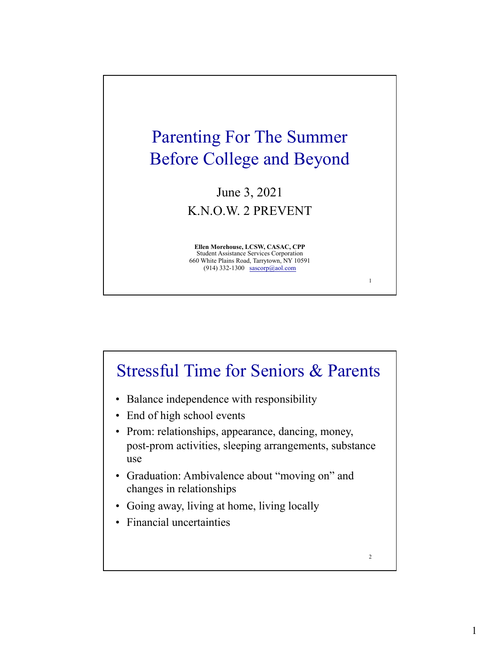

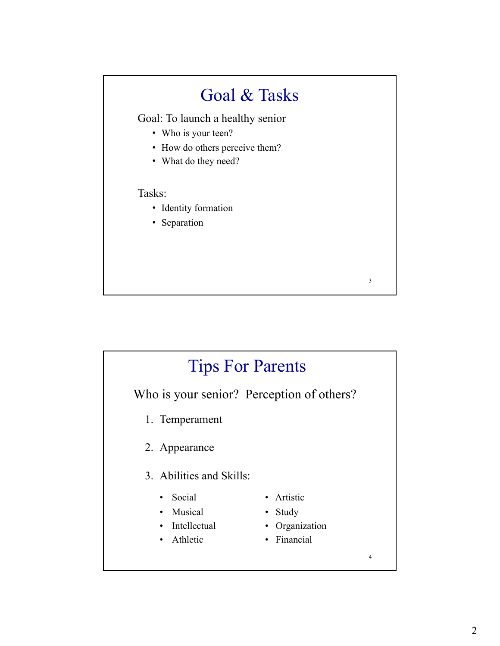### Goal & Tasks

Goal: To launch a healthy senior

- Who is your teen?
- How do others perceive them?
- What do they need?

#### Tasks:

- Identity formation
- Separation

## 4 Tips For Parents Who is your senior? Perception of others? 1. Temperament 2. Appearance 3. Abilities and Skills: • Social • Artistic • Musical • Study • Intellectual • Organization • Athletic • Financial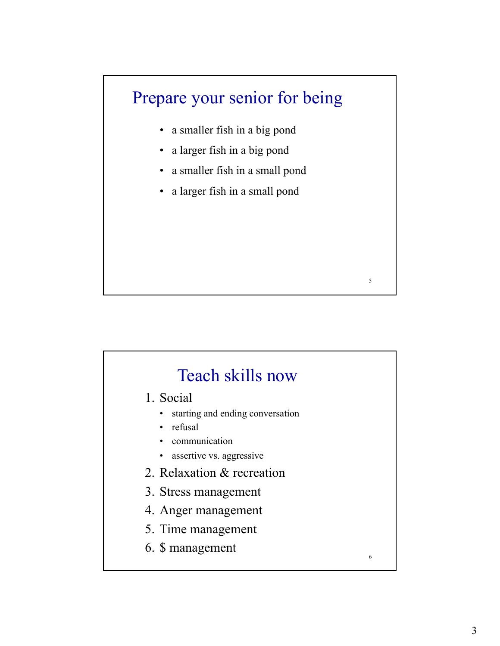#### Prepare your senior for being

- a smaller fish in a big pond
- a larger fish in a big pond
- a smaller fish in a small pond
- a larger fish in a small pond

#### Teach skills now

5

- 1. Social
	- starting and ending conversation
	- refusal
	- communication
	- assertive vs. aggressive
- 2. Relaxation & recreation
- 3. Stress management
- 4. Anger management
- 5. Time management
- 6. \$ management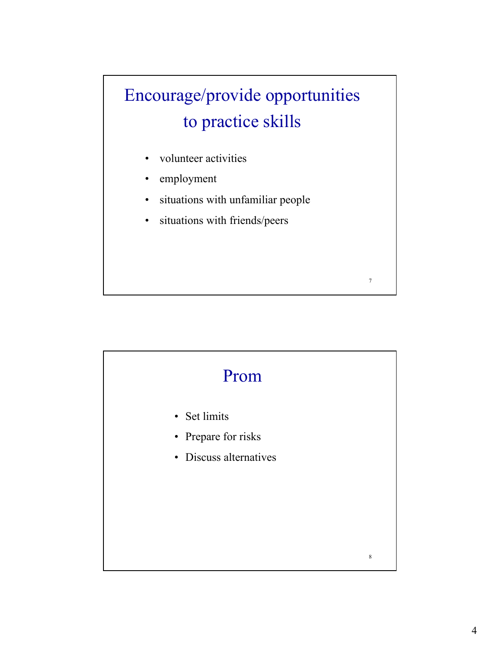## Encourage/provide opportunities to practice skills

- volunteer activities
- employment
- situations with unfamiliar people
- situations with friends/peers